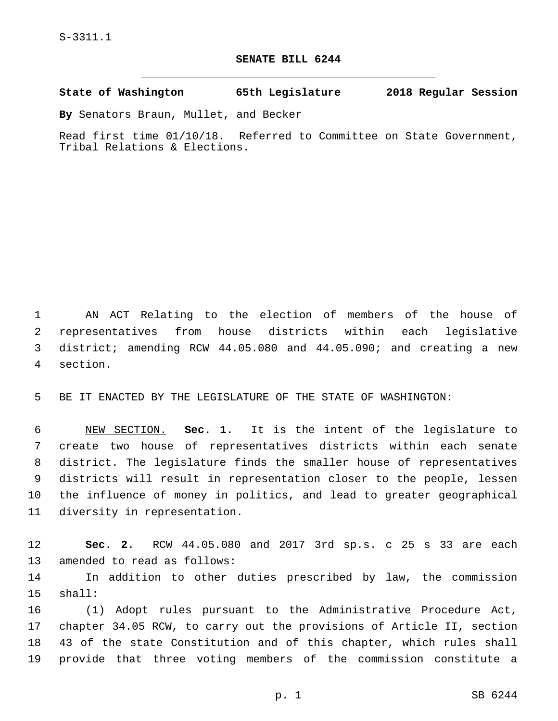## **SENATE BILL 6244**

## **State of Washington 65th Legislature 2018 Regular Session**

**By** Senators Braun, Mullet, and Becker

Read first time 01/10/18. Referred to Committee on State Government, Tribal Relations & Elections.

 AN ACT Relating to the election of members of the house of representatives from house districts within each legislative district; amending RCW 44.05.080 and 44.05.090; and creating a new 4 section.

BE IT ENACTED BY THE LEGISLATURE OF THE STATE OF WASHINGTON:

 NEW SECTION. **Sec. 1.** It is the intent of the legislature to create two house of representatives districts within each senate district. The legislature finds the smaller house of representatives districts will result in representation closer to the people, lessen the influence of money in politics, and lead to greater geographical diversity in representation.

 **Sec. 2.** RCW 44.05.080 and 2017 3rd sp.s. c 25 s 33 are each 13 amended to read as follows:

 In addition to other duties prescribed by law, the commission 15 shall:

 (1) Adopt rules pursuant to the Administrative Procedure Act, chapter 34.05 RCW, to carry out the provisions of Article II, section 43 of the state Constitution and of this chapter, which rules shall provide that three voting members of the commission constitute a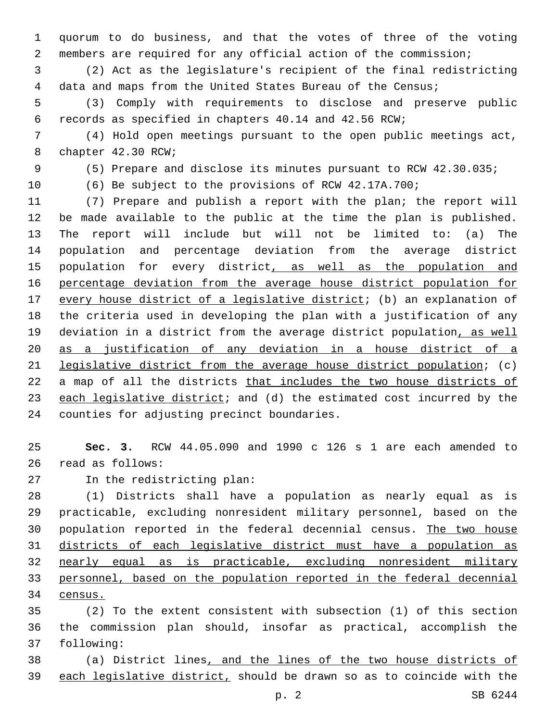quorum to do business, and that the votes of three of the voting members are required for any official action of the commission;

 (2) Act as the legislature's recipient of the final redistricting data and maps from the United States Bureau of the Census;

 (3) Comply with requirements to disclose and preserve public records as specified in chapters 40.14 and 42.56 RCW;

 (4) Hold open meetings pursuant to the open public meetings act, 8 chapter 42.30 RCW;

(5) Prepare and disclose its minutes pursuant to RCW 42.30.035;

(6) Be subject to the provisions of RCW 42.17A.700;

 (7) Prepare and publish a report with the plan; the report will be made available to the public at the time the plan is published. The report will include but will not be limited to: (a) The population and percentage deviation from the average district 15 population for every district, as well as the population and percentage deviation from the average house district population for every house district of a legislative district; (b) an explanation of the criteria used in developing the plan with a justification of any deviation in a district from the average district population, as well as a justification of any deviation in a house district of a legislative district from the average house district population; (c) a map of all the districts that includes the two house districts of 23 each legislative district; and (d) the estimated cost incurred by the 24 counties for adjusting precinct boundaries.

 **Sec. 3.** RCW 44.05.090 and 1990 c 126 s 1 are each amended to read as follows:26

27 In the redistricting plan:

 (1) Districts shall have a population as nearly equal as is practicable, excluding nonresident military personnel, based on the population reported in the federal decennial census. The two house districts of each legislative district must have a population as nearly equal as is practicable, excluding nonresident military personnel, based on the population reported in the federal decennial census.

 (2) To the extent consistent with subsection (1) of this section the commission plan should, insofar as practical, accomplish the 37 following:

 (a) District lines, and the lines of the two house districts of each legislative district, should be drawn so as to coincide with the